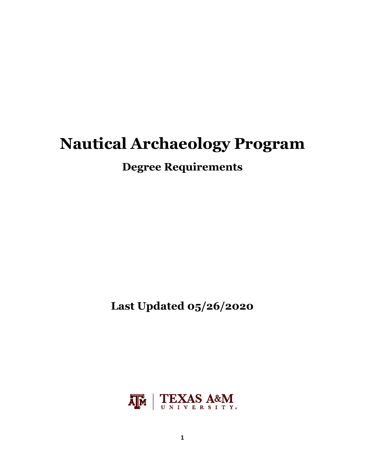# **Nautical Archaeology Program**

## **Degree Requirements**

**Last Updated 05/26/2020**

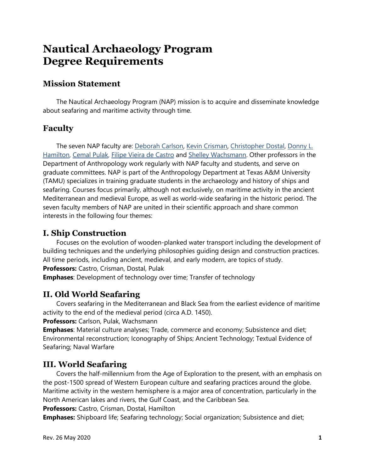## **Nautical Archaeology Program Degree Requirements**

## **Mission Statement**

The Nautical Archaeology Program (NAP) mission is to acquire and disseminate knowledge about seafaring and maritime activity through time.

## **Faculty**

The seven NAP faculty are: [Deborah Carlson,](http://nautarch.tamu.edu/academic/FACULTY/carlson.shtml) [Kevin Crisman,](http://nautarch.tamu.edu/academic/FACULTY/crisman.htm) [Christopher Dostal,](http://nautarch.tamu.edu/academic/FACULTY/dostal.htm) [Donny L.](http://nautarch.tamu.edu/academic/FACULTY/hamilton.htm)  [Hamilton,](http://nautarch.tamu.edu/academic/FACULTY/hamilton.htm) [Cemal Pulak,](http://nautarch.tamu.edu/academic/FACULTY/pulak.shtml) [Filipe Vieira de Castro](http://nautarch.tamu.edu/academic/FACULTY/castro.shtml) and [Shelley Wachsmann.](http://nautarch.tamu.edu/academic/FACULTY/wachsmann.shtml) Other professors in the Department of Anthropology work regularly with NAP faculty and students, and serve on graduate committees. NAP is part of the Anthropology Department at Texas A&M University (TAMU) specializes in training graduate students in the archaeology and history of ships and seafaring. Courses focus primarily, although not exclusively, on maritime activity in the ancient Mediterranean and medieval Europe, as well as world-wide seafaring in the historic period. The seven faculty members of NAP are united in their scientific approach and share common interests in the following four themes:

## **I. Ship Construction**

Focuses on the evolution of wooden-planked water transport including the development of building techniques and the underlying philosophies guiding design and construction practices. All time periods, including ancient, medieval, and early modern, are topics of study. **Professors:** Castro, Crisman, Dostal, Pulak

**Emphases**: Development of technology over time; Transfer of technology

### **II. Old World Seafaring**

Covers seafaring in the Mediterranean and Black Sea from the earliest evidence of maritime activity to the end of the medieval period (circa A.D. 1450).

**Professors:** Carlson, Pulak, Wachsmann

**Emphases**: Material culture analyses; Trade, commerce and economy; Subsistence and diet; Environmental reconstruction; Iconography of Ships; Ancient Technology; Textual Evidence of Seafaring; Naval Warfare

## **III. World Seafaring**

Covers the half-millennium from the Age of Exploration to the present, with an emphasis on the post-1500 spread of Western European culture and seafaring practices around the globe. Maritime activity in the western hemisphere is a major area of concentration, particularly in the North American lakes and rivers, the Gulf Coast, and the Caribbean Sea.

**Professors:** Castro, Crisman, Dostal, Hamilton

**Emphases:** Shipboard life; Seafaring technology; Social organization; Subsistence and diet;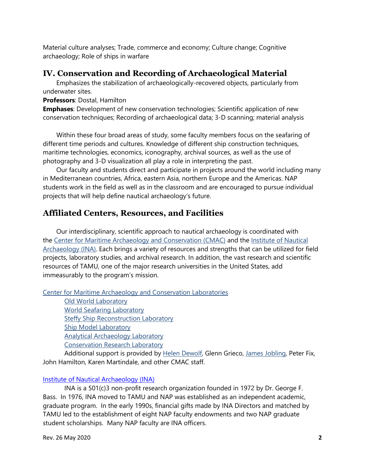Material culture analyses; Trade, commerce and economy; Culture change; Cognitive archaeology; Role of ships in warfare

#### **IV. Conservation and Recording of Archaeological Material**

Emphasizes the stabilization of archaeologically-recovered objects, particularly from underwater sites.

#### **Professors**: Dostal, Hamilton

**Emphases**: Development of new conservation technologies; Scientific application of new conservation techniques; Recording of archaeological data; 3-D scanning; material analysis

Within these four broad areas of study, some faculty members focus on the seafaring of different time periods and cultures. Knowledge of different ship construction techniques, maritime technologies, economics, iconography, archival sources, as well as the use of photography and 3-D visualization all play a role in interpreting the past.

Our faculty and students direct and participate in projects around the world including many in Mediterranean countries, Africa, eastern Asia, northern Europe and the Americas. NAP students work in the field as well as in the classroom and are encouraged to pursue individual projects that will help define nautical archaeology's future.

#### **Affiliated Centers, Resources, and Facilities**

Our interdisciplinary, scientific approach to nautical archaeology is coordinated with the [Center for Maritime Archaeology and Conservation \(CMAC\)](http://nautarch.tamu.edu/cmac/) and the [Institute of Nautical](https://nauticalarch.org/)  [Archaeology \(INA\).](https://nauticalarch.org/) Each brings a variety of resources and strengths that can be utilized for field projects, laboratory studies, and archival research. In addition, the vast research and scientific resources of TAMU, one of the major research universities in the United States, add immeasurably to the program's mission.

[Center for Maritime Archaeology and Conservation](http://nautarch.tamu.edu/cmac/) Laboratories

[Old World Laboratory](http://nautarch.tamu.edu/oldworld/) [World Seafaring Laboratory](http://nautarch.tamu.edu/newworld/) [Steffy Ship Reconstruction Laboratory](http://nautarch.tamu.edu/shiplab/) [Ship Model Laboratory](http://nautarch.tamu.edu/model/) [Analytical Archaeology Laboratory](http://nautarch.tamu.edu/cmac/AAL/index.html) [Conservation Research Laboratory](http://nautarch.tamu.edu/CRL/)

Additional support is provided by [Helen Dewolf,](http://nautarch.tamu.edu/CRL/About/dewolf.html) Glenn Grieco, [James Jobling,](http://nautarch.tamu.edu/CRL/About/jobling.html) Peter Fix, John Hamilton, Karen Martindale, and other CMAC staff.

#### **[Institute of Nautical Archaeology](http://nauticalarch.org/) (INA)**

INA is a 501(c)3 non-profit research organization founded in 1972 by Dr. George F. Bass. In 1976, INA moved to TAMU and NAP was established as an independent academic, graduate program. In the early 1990s, financial gifts made by INA Directors and matched by TAMU led to the establishment of eight NAP faculty endowments and two NAP graduate student scholarships. Many NAP faculty are INA officers.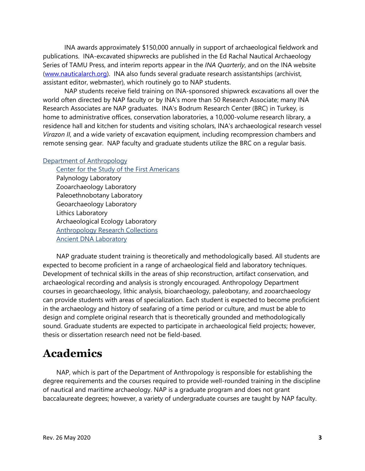INA awards approximately \$150,000 annually in support of archaeological fieldwork and publications. INA-excavated shipwrecks are published in the Ed Rachal Nautical Archaeology Series of TAMU Press, and interim reports appear in the *INA Quarterly*, and on the INA website [\(www.nauticalarch.org\)](http://www.nauticalarch.org/). INA also funds several graduate research assistantships (archivist, assistant editor, webmaster), which routinely go to NAP students.

NAP students receive field training on INA-sponsored shipwreck excavations all over the world often directed by NAP faculty or by INA's more than 50 Research Associate; many INA Research Associates are NAP graduates. INA's Bodrum Research Center (BRC) in Turkey, is home to administrative offices, conservation laboratories, a 10,000-volume research library, a residence hall and kitchen for students and visiting scholars, INA's archaeological research vessel *Virazon II*, and a wide variety of excavation equipment, including recompression chambers and remote sensing gear. NAP faculty and graduate students utilize the BRC on a regular basis.

#### [Department of Anthropology](http://anthropology.tamu.edu/)

[Center for the Study of the First Americans](http://www.centerfirstamericans.com/) Palynology Laboratory Zooarchaeology Laboratory Paleoethnobotany Laboratory Geoarchaeology Laboratory Lithics Laboratory Archaeological Ecology Laboratory [Anthropology Research Collections](https://liberalarts.tamu.edu/anthropology/resources/anthropology-research-collections/) Ancient DNA Laboratory

NAP graduate student training is theoretically and methodologically based. All students are expected to become proficient in a range of archaeological field and laboratory techniques. Development of technical skills in the areas of ship reconstruction, artifact conservation, and archaeological recording and analysis is strongly encouraged. Anthropology Department courses in geoarchaeology, lithic analysis, bioarchaeology, paleobotany, and zooarchaeology can provide students with areas of specialization. Each student is expected to become proficient in the archaeology and history of seafaring of a time period or culture, and must be able to design and complete original research that is theoretically grounded and methodologically sound. Graduate students are expected to participate in archaeological field projects; however, thesis or dissertation research need not be field-based.

## **Academics**

NAP, which is part of the Department of Anthropology is responsible for establishing the degree requirements and the courses required to provide well-rounded training in the discipline of nautical and maritime archaeology. NAP is a graduate program and does not grant baccalaureate degrees; however, a variety of undergraduate courses are taught by NAP faculty.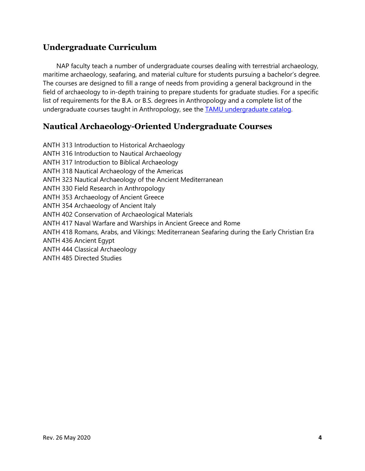## **Undergraduate Curriculum**

NAP faculty teach a number of undergraduate courses dealing with terrestrial archaeology, maritime archaeology, seafaring, and material culture for students pursuing a bachelor's degree. The courses are designed to fill a range of needs from providing a general background in the field of archaeology to in-depth training to prepare students for graduate studies. For a specific list of requirements for the B.A. or B.S. degrees in Anthropology and a complete list of the undergraduate courses taught in Anthropology, see the **TAMU** undergraduate catalog.

## **Nautical Archaeology-Oriented Undergraduate Courses**

ANTH 313 Introduction to Historical Archaeology ANTH 316 Introduction to Nautical Archaeology ANTH 317 Introduction to Biblical Archaeology ANTH 318 Nautical Archaeology of the Americas ANTH 323 Nautical Archaeology of the Ancient Mediterranean ANTH 330 Field Research in Anthropology ANTH 353 Archaeology of Ancient Greece ANTH 354 Archaeology of Ancient Italy ANTH 402 Conservation of Archaeological Materials ANTH 417 Naval Warfare and Warships in Ancient Greece and Rome ANTH 418 Romans, Arabs, and Vikings: Mediterranean Seafaring during the Early Christian Era ANTH 436 Ancient Egypt ANTH 444 Classical Archaeology ANTH 485 Directed Studies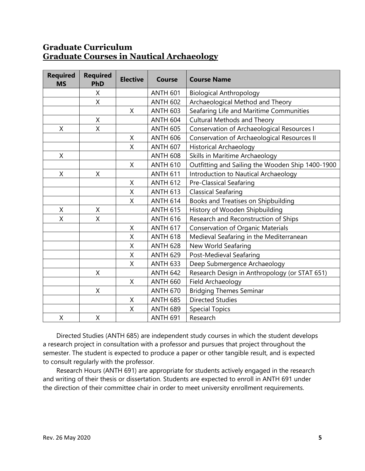## **Graduate Curriculum [Graduate](http://nautarch.tamu.edu/academic/admissions.shtml#Course%20Table) Courses in Nautical Archaeology**

| <b>Required</b><br><b>MS</b> | <b>Required</b><br><b>PhD</b> | <b>Elective</b> | <b>Course</b>   | <b>Course Name</b>                                                                  |  |
|------------------------------|-------------------------------|-----------------|-----------------|-------------------------------------------------------------------------------------|--|
|                              | X                             |                 | <b>ANTH 601</b> | <b>Biological Anthropology</b>                                                      |  |
|                              | X                             |                 | <b>ANTH 602</b> | Archaeological Method and Theory                                                    |  |
|                              |                               | X               | <b>ANTH 603</b> | Seafaring Life and Maritime Communities                                             |  |
|                              | X                             |                 | <b>ANTH 604</b> | <b>Cultural Methods and Theory</b>                                                  |  |
| X                            | X                             |                 | <b>ANTH 605</b> | Conservation of Archaeological Resources I                                          |  |
|                              |                               | X               | <b>ANTH 606</b> | Conservation of Archaeological Resources II                                         |  |
|                              |                               | Χ               | <b>ANTH 607</b> | <b>Historical Archaeology</b>                                                       |  |
| X                            |                               |                 | <b>ANTH 608</b> | Skills in Maritime Archaeology                                                      |  |
|                              |                               | X               | <b>ANTH 610</b> | Outfitting and Sailing the Wooden Ship 1400-1900                                    |  |
| $\sf X$                      | $\mathsf{X}$                  |                 | <b>ANTH 611</b> | Introduction to Nautical Archaeology                                                |  |
|                              |                               | X               | <b>ANTH 612</b> | <b>Pre-Classical Seafaring</b>                                                      |  |
|                              |                               | Χ               | <b>ANTH 613</b> | <b>Classical Seafaring</b><br>Books and Treatises on Shipbuilding                   |  |
|                              |                               | X               | <b>ANTH 614</b> |                                                                                     |  |
| X                            | X                             |                 | <b>ANTH 615</b> | History of Wooden Shipbuilding                                                      |  |
| Χ                            | X                             |                 | <b>ANTH 616</b> | Research and Reconstruction of Ships                                                |  |
|                              |                               | X               | <b>ANTH 617</b> | <b>Conservation of Organic Materials</b><br>Medieval Seafaring in the Mediterranean |  |
|                              |                               | X               | <b>ANTH 618</b> |                                                                                     |  |
|                              |                               | Χ               | <b>ANTH 628</b> | New World Seafaring                                                                 |  |
|                              |                               | Χ               | <b>ANTH 629</b> | Post-Medieval Seafaring                                                             |  |
|                              |                               | X               | <b>ANTH 633</b> | Deep Submergence Archaeology                                                        |  |
|                              | X                             |                 | <b>ANTH 642</b> | Research Design in Anthropology (or STAT 651)                                       |  |
|                              |                               | $\sf X$         | <b>ANTH 660</b> | Field Archaeology                                                                   |  |
|                              | X                             |                 | <b>ANTH 670</b> | <b>Bridging Themes Seminar</b>                                                      |  |
|                              |                               | X               | <b>ANTH 685</b> | <b>Directed Studies</b>                                                             |  |
|                              |                               | Χ               | <b>ANTH 689</b> | <b>Special Topics</b>                                                               |  |
| X                            | X                             |                 | <b>ANTH 691</b> | Research                                                                            |  |

Directed Studies (ANTH 685) are independent study courses in which the student develops a research project in consultation with a professor and pursues that project throughout the semester. The student is expected to produce a paper or other tangible result, and is expected to consult regularly with the professor.

Research Hours (ANTH 691) are appropriate for students actively engaged in the research and writing of their thesis or dissertation. Students are expected to enroll in ANTH 691 under the direction of their committee chair in order to meet university enrollment requirements.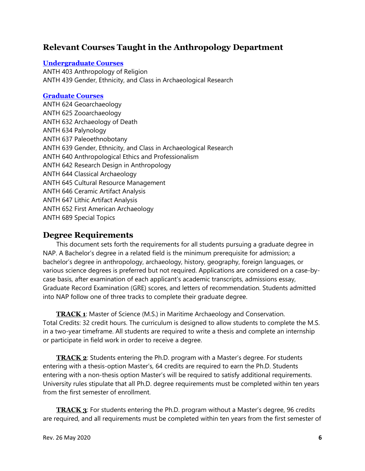## **Relevant Courses Taught in the Anthropology Department**

#### **[Undergraduate Courses](https://catalog.tamu.edu/undergraduate/course-descriptions/anth/)**

ANTH 403 Anthropology of Religion ANTH 439 Gender, Ethnicity, and Class in Archaeological Research

#### **[Graduate Courses](https://catalog.tamu.edu/graduate/course-descriptions/anth/)**

ANTH 624 Geoarchaeology ANTH 625 Zooarchaeology ANTH 632 Archaeology of Death ANTH 634 Palynology ANTH 637 Paleoethnobotany ANTH 639 Gender, Ethnicity, and Class in Archaeological Research ANTH 640 Anthropological Ethics and Professionalism ANTH 642 Research Design in Anthropology ANTH 644 Classical Archaeology ANTH 645 Cultural Resource Management ANTH 646 Ceramic Artifact Analysis ANTH 647 Lithic Artifact Analysis ANTH 652 First American Archaeology ANTH 689 Special Topics

#### **Degree Requirements**

This document sets forth the requirements for all students pursuing a graduate degree in NAP. A Bachelor's degree in a related field is the minimum prerequisite for admission; a bachelor's degree in anthropology, archaeology, history, geography, foreign languages, or various science degrees is preferred but not required. Applications are considered on a case-bycase basis, after examination of each applicant's academic transcripts, admissions essay, Graduate Record Examination (GRE) scores, and letters of recommendation. Students admitted into NAP follow one of three tracks to complete their graduate degree.

**[TRACK 1](http://nautarch.tamu.edu/academic/admissions.shtml#Track%20Table)**: Master of Science (M.S.) in Maritime Archaeology and Conservation. Total Credits: 32 credit hours. The curriculum is designed to allow students to complete the M.S. in a two-year timeframe. All students are required to write a thesis and complete an internship or participate in field work in order to receive a degree.

**[TRACK 2](http://nautarch.tamu.edu/academic/admissions.shtml#Track%20Table)**: Students entering the Ph.D. program with a Master's degree. For students entering with a thesis-option Master's, 64 credits are required to earn the Ph.D. Students entering with a non-thesis option Master's will be required to satisfy additional requirements. University rules stipulate that all Ph.D. degree requirements must be completed within ten years from the first semester of enrollment.

**[TRACK 3](http://nautarch.tamu.edu/academic/admissions.shtml#Track%20Table)**: For students entering the Ph.D. program without a Master's degree, 96 credits are required, and all requirements must be completed within ten years from the first semester of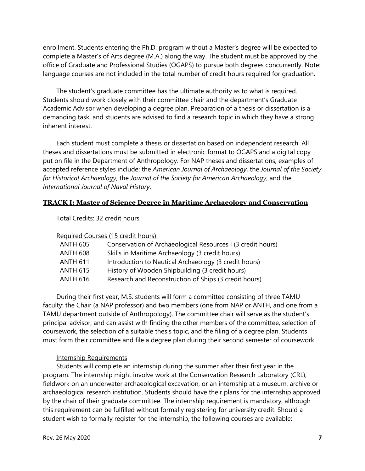enrollment. Students entering the Ph.D. program without a Master's degree will be expected to complete a Master's of Arts degree (M.A.) along the way. The student must be approved by the office of Graduate and Professional Studies (OGAPS) to pursue both degrees concurrently. Note: language courses are not included in the total number of credit hours required for graduation.

The student's graduate committee has the ultimate authority as to what is required. Students should work closely with their committee chair and the department's Graduate Academic Advisor when developing a degree plan. Preparation of a thesis or dissertation is a demanding task, and students are advised to find a research topic in which they have a strong inherent interest.

Each student must complete a thesis or dissertation based on independent research. All theses and dissertations must be submitted in electronic format to OGAPS and a digital copy put on file in the Department of Anthropology. For NAP theses and dissertations, examples of accepted reference styles include: the *American Journal of Archaeology*, the *Journal of the Society for Historical Archaeology*, the *Journal of the Society for American Archaeology*, and the *International Journal of Naval History*.

#### **TRACK I: Master of Science Degree in Maritime Archaeology and Conservation**

Total Credits: 32 credit hours

Required Courses (15 credit hours):

| <b>ANTH 605</b> | Conservation of Archaeological Resources I (3 credit hours) |
|-----------------|-------------------------------------------------------------|
| <b>ANTH 608</b> | Skills in Maritime Archaeology (3 credit hours)             |
| <b>ANTH 611</b> | Introduction to Nautical Archaeology (3 credit hours)       |
| <b>ANTH 615</b> | History of Wooden Shipbuilding (3 credit hours)             |
| <b>ANTH 616</b> | Research and Reconstruction of Ships (3 credit hours)       |
|                 |                                                             |

During their first year, M.S. students will form a committee consisting of three TAMU faculty: the Chair (a NAP professor) and two members (one from NAP or ANTH, and one from a TAMU department outside of Anthropology). The committee chair will serve as the student's principal advisor, and can assist with finding the other members of the committee, selection of coursework, the selection of a suitable thesis topic, and the filing of a degree plan. Students must form their committee and file a degree plan during their second semester of coursework.

#### Internship Requirements

Students will complete an internship during the summer after their first year in the program. The internship might involve work at the Conservation Research Laboratory (CRL), fieldwork on an underwater archaeological excavation, or an internship at a museum, archive or archaeological research institution. Students should have their plans for the internship approved by the chair of their graduate committee. The internship requirement is mandatory, although this requirement can be fulfilled without formally registering for university credit. Should a student wish to formally register for the internship, the following courses are available: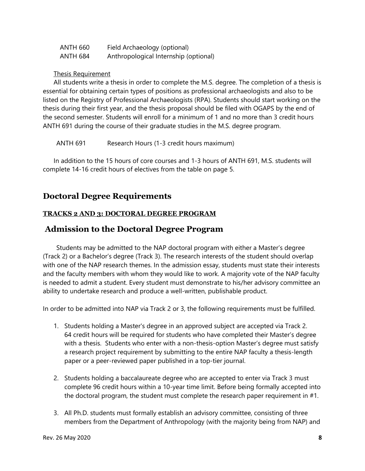| ANTH 660 | Field Archaeology (optional)          |
|----------|---------------------------------------|
| ANTH 684 | Anthropological Internship (optional) |

#### Thesis Requirement

All students write a thesis in order to complete the M.S. degree. The completion of a thesis is essential for obtaining certain types of positions as professional archaeologists and also to be listed on the Registry of Professional Archaeologists (RPA). Students should start working on the thesis during their first year, and the thesis proposal should be filed with OGAPS by the end of the second semester. Students will enroll for a minimum of 1 and no more than 3 credit hours ANTH 691 during the course of their graduate studies in the M.S. degree program.

ANTH 691 Research Hours (1-3 credit hours maximum)

In addition to the 15 hours of core courses and 1-3 hours of ANTH 691, M.S. students will complete 14-16 credit hours of electives from the table on page 5.

### **Doctoral Degree Requirements**

#### **TRACKS 2 AND 3: DOCTORAL DEGREE PROGRAM**

#### **Admission to the Doctoral Degree Program**

Students may be admitted to the NAP doctoral program with either a Master's degree (Track 2) or a Bachelor's degree (Track 3). The research interests of the student should overlap with one of the NAP research themes. In the admission essay, students must state their interests and the faculty members with whom they would like to work. A majority vote of the NAP faculty is needed to admit a student. Every student must demonstrate to his/her advisory committee an ability to undertake research and produce a well-written, publishable product.

In order to be admitted into NAP via Track 2 or 3, the following requirements must be fulfilled.

- 1. Students holding a Master's degree in an approved subject are accepted via Track 2. 64 credit hours will be required for students who have completed their Master's degree with a thesis. Students who enter with a non-thesis-option Master's degree must satisfy a research project requirement by submitting to the entire NAP faculty a thesis-length paper or a peer-reviewed paper published in a top-tier journal.
- 2. Students holding a baccalaureate degree who are accepted to enter via Track 3 must complete 96 credit hours within a 10-year time limit. Before being formally accepted into the doctoral program, the student must complete the research paper requirement in #1.
- 3. All Ph.D. students must formally establish an advisory committee, consisting of three members from the Department of Anthropology (with the majority being from NAP) and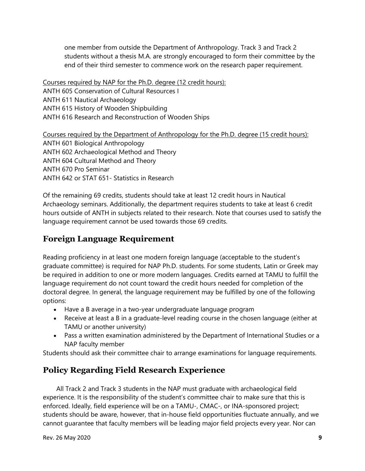one member from outside the Department of Anthropology. Track 3 and Track 2 students without a thesis M.A. are strongly encouraged to form their committee by the end of their third semester to commence work on the research paper requirement.

Courses required by NAP for the Ph.D. degree (12 credit hours): ANTH 605 Conservation of Cultural Resources I ANTH 611 Nautical Archaeology ANTH 615 History of Wooden Shipbuilding ANTH 616 Research and Reconstruction of Wooden Ships

Courses required by the Department of Anthropology for the Ph.D. degree (15 credit hours): ANTH 601 Biological Anthropology ANTH 602 Archaeological Method and Theory ANTH 604 Cultural Method and Theory ANTH 670 Pro Seminar ANTH 642 or STAT 651- Statistics in Research

Of the remaining 69 credits, students should take at least 12 credit hours in Nautical Archaeology seminars. Additionally, the department requires students to take at least 6 credit hours outside of ANTH in subjects related to their research. Note that courses used to satisfy the language requirement cannot be used towards those 69 credits.

## **Foreign Language Requirement**

Reading proficiency in at least one modern foreign language (acceptable to the student's graduate committee) is required for NAP Ph.D. students. For some students, Latin or Greek may be required in addition to one or more modern languages. Credits earned at TAMU to fulfill the language requirement do not count toward the credit hours needed for completion of the doctoral degree. In general, the language requirement may be fulfilled by one of the following options:

- Have a B average in a two-year undergraduate language program
- Receive at least a B in a graduate-level reading course in the chosen language (either at TAMU or another university)
- Pass a written examination administered by the Department of International Studies or a NAP faculty member

Students should ask their committee chair to arrange examinations for language requirements.

## **Policy Regarding Field Research Experience**

All Track 2 and Track 3 students in the NAP must graduate with archaeological field experience. It is the responsibility of the student's committee chair to make sure that this is enforced. Ideally, field experience will be on a TAMU-, CMAC-, or INA-sponsored project; students should be aware, however, that in-house field opportunities fluctuate annually, and we cannot guarantee that faculty members will be leading major field projects every year. Nor can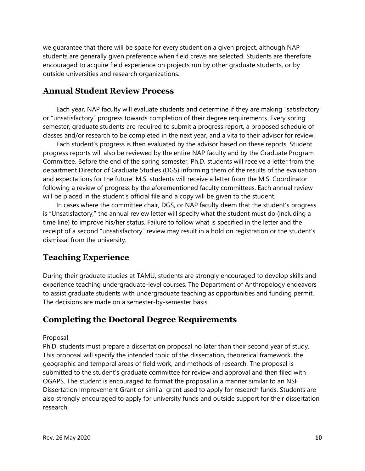we guarantee that there will be space for every student on a given project, although NAP students are generally given preference when field crews are selected. Students are therefore encouraged to acquire field experience on projects run by other graduate students, or by outside universities and research organizations.

#### **Annual Student Review Process**

Each year, NAP faculty will evaluate students and determine if they are making "satisfactory" or "unsatisfactory" progress towards completion of their degree requirements. Every spring semester, graduate students are required to submit a progress report, a proposed schedule of classes and/or research to be completed in the next year, and a vita to their advisor for review.

Each student's progress is then evaluated by the advisor based on these reports. Student progress reports will also be reviewed by the entire NAP faculty and by the Graduate Program Committee. Before the end of the spring semester, Ph.D. students will receive a letter from the department Director of Graduate Studies (DGS) informing them of the results of the evaluation and expectations for the future. M.S. students will receive a letter from the M.S. Coordinator following a review of progress by the aforementioned faculty committees. Each annual review will be placed in the student's official file and a copy will be given to the student.

In cases where the committee chair, DGS, or NAP faculty deem that the student's progress is "Unsatisfactory," the annual review letter will specify what the student must do (including a time line) to improve his/her status. Failure to follow what is specified in the letter and the receipt of a second "unsatisfactory" review may result in a hold on registration or the student's dismissal from the university.

### **Teaching Experience**

During their graduate studies at TAMU, students are strongly encouraged to develop skills and experience teaching undergraduate-level courses. The Department of Anthropology endeavors to assist graduate students with undergraduate teaching as opportunities and funding permit. The decisions are made on a semester-by-semester basis.

#### **Completing the Doctoral Degree Requirements**

#### Proposal

Ph.D. students must prepare a dissertation proposal no later than their second year of study. This proposal will specify the intended topic of the dissertation, theoretical framework, the geographic and temporal areas of field work, and methods of research. The proposal is submitted to the student's graduate committee for review and approval and then filed with OGAPS. The student is encouraged to format the proposal in a manner similar to an NSF Dissertation Improvement Grant or similar grant used to apply for research funds. Students are also strongly encouraged to apply for university funds and outside support for their dissertation research.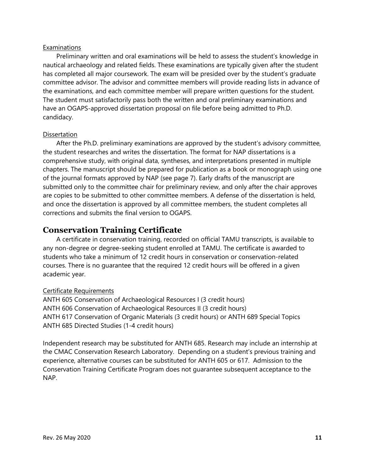#### Examinations

Preliminary written and oral examinations will be held to assess the student's knowledge in nautical archaeology and related fields. These examinations are typically given after the student has completed all major coursework. The exam will be presided over by the student's graduate committee advisor. The advisor and committee members will provide reading lists in advance of the examinations, and each committee member will prepare written questions for the student. The student must satisfactorily pass both the written and oral preliminary examinations and have an OGAPS-approved dissertation proposal on file before being admitted to Ph.D. candidacy.

#### **Dissertation**

After the Ph.D. preliminary examinations are approved by the student's advisory committee, the student researches and writes the dissertation. The format for NAP dissertations is a comprehensive study, with original data, syntheses, and interpretations presented in multiple chapters. The manuscript should be prepared for publication as a book or monograph using one of the journal formats approved by NAP (see page 7). Early drafts of the manuscript are submitted only to the committee chair for preliminary review, and only after the chair approves are copies to be submitted to other committee members. A defense of the dissertation is held, and once the dissertation is approved by all committee members, the student completes all corrections and submits the final version to OGAPS.

#### **Conservation Training Certificate**

A certificate in conservation training, recorded on official TAMU transcripts, is available to any non-degree or degree-seeking student enrolled at TAMU. The certificate is awarded to students who take a minimum of 12 credit hours in conservation or conservation-related courses. There is no guarantee that the required 12 credit hours will be offered in a given academic year.

#### Certificate Requirements

ANTH 605 Conservation of Archaeological Resources I (3 credit hours) ANTH 606 Conservation of Archaeological Resources II (3 credit hours) ANTH 617 Conservation of Organic Materials (3 credit hours) or ANTH 689 Special Topics ANTH 685 Directed Studies (1-4 credit hours)

Independent research may be substituted for ANTH 685. Research may include an internship at the CMAC Conservation Research Laboratory. Depending on a student's previous training and experience, alternative courses can be substituted for ANTH 605 or 617. Admission to the Conservation Training Certificate Program does not guarantee subsequent acceptance to the NAP.